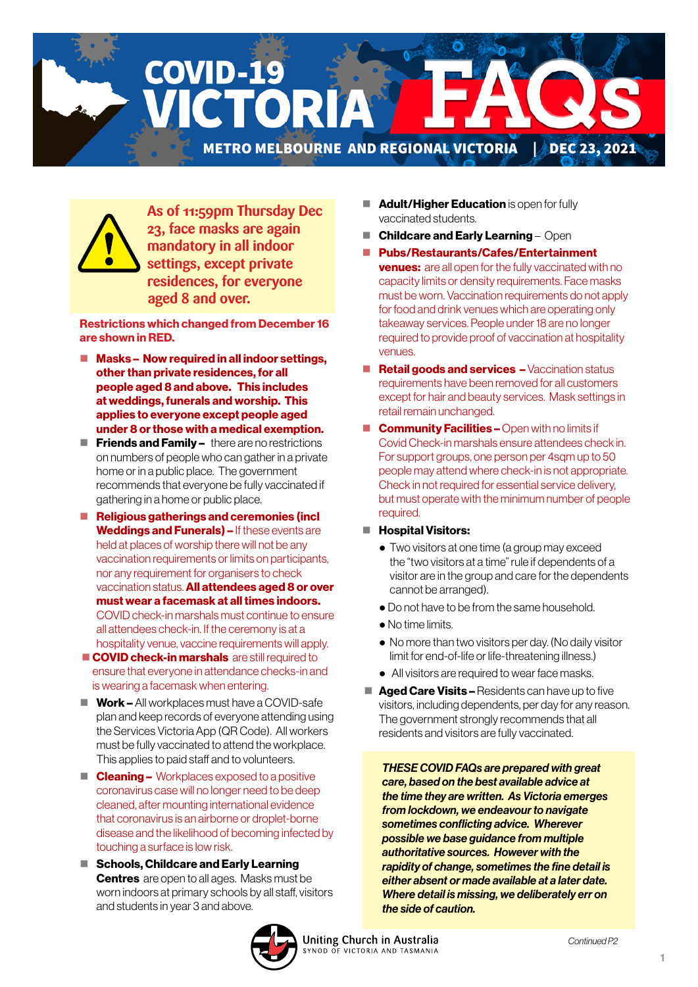**COVID-19** CTORI METRO MELBOURNE AND REGIONAL VICTORIA | DEC 23, 2021



**As of 11:59pm Thursday Dec 23, face masks are again mandatory in all indoor settings, except private residences, for everyone aged 8 and over.**

Restrictions which changed from December 16 are shown in RED.

- Masks Now required in all indoor settings, other than private residences, for all people aged 8 and above. This includes at weddings, funerals and worship. This applies to everyone except people aged under 8 or those with a medical exemption.
- $\blacksquare$  Friends and Family there are no restrictions on numbers of people who can gather in a private home or in a public place. The government recommends that everyone be fully vaccinated if gathering in a home or public place.
- Religious gatherings and ceremonies (incl Weddings and Funerals) – If these events are held at places of worship there will not be any vaccination requirements or limits on participants, nor any requirement for organisers to check vaccination status. All attendees aged 8 or over must wear a facemask at all times indoors. COVID check-in marshals must continue to ensure all attendees check-in. If the ceremony is at a hospitality venue, vaccine requirements will apply.
- **COVID check-in marshals** are still required to ensure that everyone in attendance checks-in and is wearing a facemask when entering.
- $\blacksquare$  Work All workplaces must have a COVID-safe plan and keep records of everyone attending using the Services Victoria App (QR Code). All workers must be fully vaccinated to attend the workplace. This applies to paid staff and to volunteers.
- $\blacksquare$  **Cleaning –** Workplaces exposed to a positive coronavirus case will no longer need to be deep cleaned, after mounting international evidence that coronavirus is an airborne or droplet-borne disease and the likelihood of becoming infected by touching a surface is low risk.
- Schools, Childcare and Early Learning **Centres** are open to all ages. Masks must be worn indoors at primary schools by all staff, visitors and students in year 3 and above.
- Adult/Higher Education is open for fully vaccinated students.
- Childcare and Early Learning Open
- Pubs/Restaurants/Cafes/Entertainment **venues:** are all open for the fully vaccinated with no capacity limits or density requirements. Face masks must be worn. Vaccination requirements do not apply for food and drink venues which are operating only takeaway services. People under 18 are no longer required to provide proof of vaccination at hospitality venues.
- **Retail goods and services –** Vaccination status requirements have been removed for all customers except for hair and beauty services. Mask settings in retail remain unchanged.
- **Community Facilities Open with no limits if** Covid Check-in marshals ensure attendees check in. For support groups, one person per 4sqm up to 50 people may attend where check-in is not appropriate. Check in not required for essential service delivery, but must operate with the minimum number of people required.
- **Hospital Visitors:** 
	- Two visitors at one time (a group may exceed the "two visitors at a time" rule if dependents of a visitor are in the group and care for the dependents cannot be arranged).
	- Do not have to be from the same household.
	- No time limits.
	- No more than two visitors per day. (No daily visitor limit for end-of-life or life-threatening illness.)
	- All visitors are required to wear face masks.
- $\blacksquare$  Aged Care Visits Residents can have up to five visitors, including dependents, per day for any reason. The government strongly recommends that all residents and visitors are fully vaccinated.

*THESE COVID FAQs are prepared with great care, based on the best available advice at the time they are written. As Victoria emerges from lockdown, we endeavour to navigate sometimes conflicting advice. Wherever possible we base guidance from multiple authoritative sources. However with the rapidity of change, sometimes the fine detail is either absent or made available at a later date. Where detail is missing, we deliberately err on the side of caution.* 

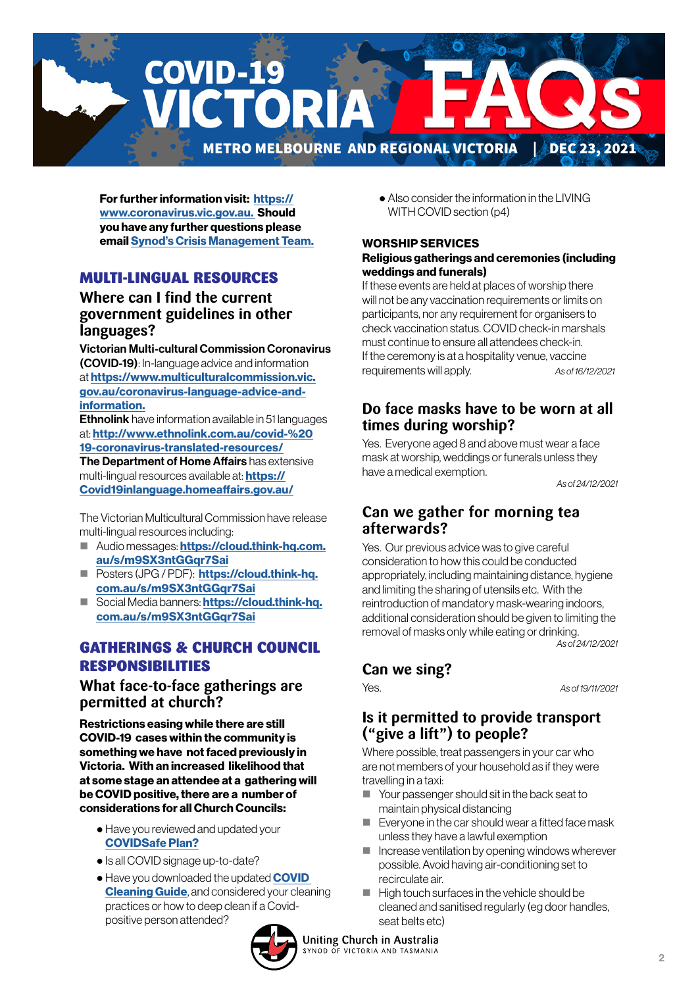

For further information visit: [https://](https://www.coronavirus.vic.gov.au) [www.coronavirus.vic.gov.au.](https://www.coronavirus.vic.gov.au) Should you have any further questions please email [Synod's Crisis Management Team.](mailto:CrisisManagement%40victas.uca.org.au?subject=)

#### MULTI-LINGUAL RESOURCES

#### **Where can I find the current government guidelines in other languages?**

Victorian Multi-cultural Commission Coronavirus (COVID-19): In-language advice and information at [https://www.multiculturalcommission.vic.](https://www.multiculturalcommission.vic.gov.au/coronavirus-language-advice-and-information) [gov.au/coronavirus-language-advice-and](https://www.multiculturalcommission.vic.gov.au/coronavirus-language-advice-and-information)[information.](https://www.multiculturalcommission.vic.gov.au/coronavirus-language-advice-and-information)

**Ethnolink** have information available in 51 languages at: [http://www.ethnolink.com.au/covid-%20](http://www.ethnolink.com.au/covid-%2019-coronavirus-translated-resources/) [19-coronavirus-translated-resources/](http://www.ethnolink.com.au/covid-%2019-coronavirus-translated-resources/)

The Department of Home Affairs has extensive multi-lingual resources available at: **[https://](https://Covid19inlanguage.homeaffairs.gov.au/)** [Covid19inlanguage.homeaffairs.gov.au/](https://Covid19inlanguage.homeaffairs.gov.au/)

The Victorian Multicultural Commission have release multi-lingual resources including:

- Audio messages: [https://cloud.think-hq.com.](https://cloud.think-hq.com.au/s/m9SX3ntGGqr7Sai) [au/s/m9SX3ntGGqr7Sai](https://cloud.think-hq.com.au/s/m9SX3ntGGqr7Sai)
- **Posters (JPG / PDF): [https://cloud.think-hq.](https://cloud.think-hq.com.au/s/m9SX3ntGGqr7Sai)** [com.au/s/m9SX3ntGGqr7Sai](https://cloud.think-hq.com.au/s/m9SX3ntGGqr7Sai)
- Social Media banners: [https://cloud.think-hq.](https://cloud.think-hq.com.au/s/m9SX3ntGGqr7Sai) [com.au/s/m9SX3ntGGqr7Sai](https://cloud.think-hq.com.au/s/m9SX3ntGGqr7Sai)

## GATHERINGS & CHURCH COUNCIL RESPONSIBILITIES

#### **What face-to-face gatherings are permitted at church?**

Restrictions easing while there are still COVID-19 cases within the community is something we have not faced previously in Victoria. With an increased likelihood that at some stage an attendee at a gathering will be COVID positive, there are a number of considerations for all Church Councils:

- Have you reviewed and updated your [COVIDSafe Plan?](https://victas.uca.org.au/download/668/faq/8852/recovery-action-plan-checklist-v5)
- Is all COVID signage up-to-date?
- Have you downloaded the updated **COVID [Cleaning Guide](https://victas.uca.org.au/download/668/faq/11557/covid-cleaning-guide)**, and considered your cleaning practices or how to deep clean if a Covidpositive person attended?



 ● Also consider the information in the LIVING WITH COVID section (p4)

#### WORSHIP SERVICES Religious gatherings and ceremonies (including weddings and funerals)

If these events are held at places of worship there will not be any vaccination requirements or limits on participants, nor any requirement for organisers to check vaccination status. COVID check-in marshals must continue to ensure all attendees check-in. If the ceremony is at a hospitality venue, vaccine requirements will apply. *As of 16/12/2021* 

#### **Do face masks have to be worn at all times during worship?**

Yes. Everyone aged 8 and above must wear a face mask at worship, weddings or funerals unless they have a medical exemption.

*As of 24/12/2021*

#### **Can we gather for morning tea afterwards?**

Yes. Our previous advice was to give careful consideration to how this could be conducted appropriately, including maintaining distance, hygiene and limiting the sharing of utensils etc. With the reintroduction of mandatory mask-wearing indoors, additional consideration should be given to limiting the removal of masks only while eating or drinking. *As of 24/12/2021*

## **Can we sing?**

Yes. *As of 19/11/2021*

#### **Is it permitted to provide transport ("give a lift") to people?**

Where possible, treat passengers in your car who are not members of your household as if they were travelling in a taxi:

- Your passenger should sit in the back seat to maintain physical distancing
- Everyone in the car should wear a fitted face mask unless they have a lawful exemption
- $\blacksquare$  Increase ventilation by opening windows wherever possible. Avoid having air-conditioning set to recirculate air.
- High touch surfaces in the vehicle should be cleaned and sanitised regularly (eg door handles, seat belts etc)

#### Uniting Church in Australia

SYNOD OF VICTORIA AND TASMANIA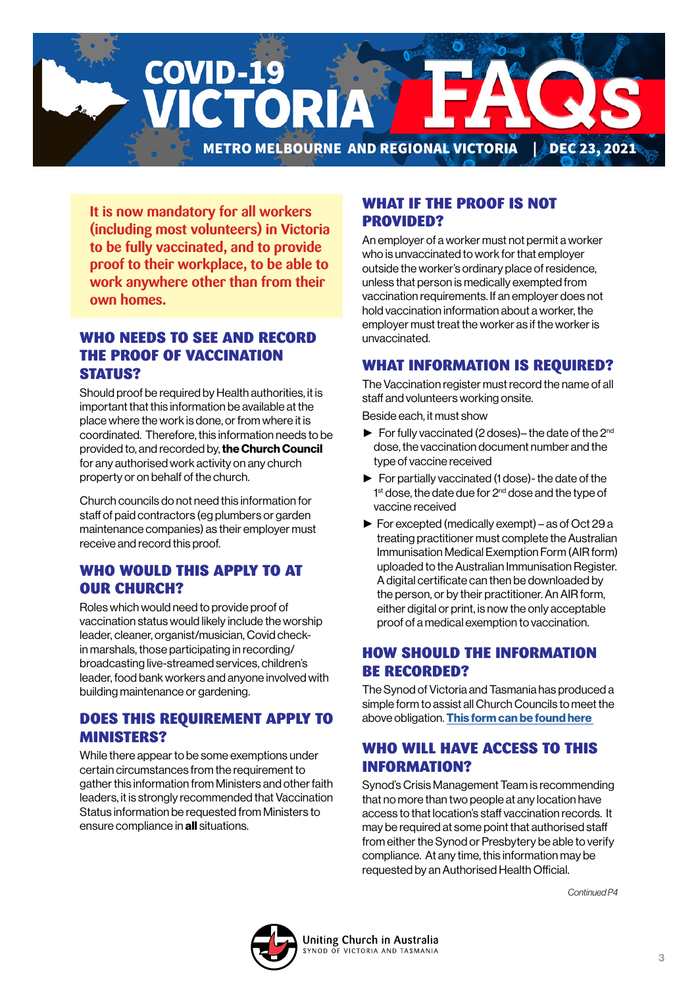**COVID-19** CTORI METRO MELBOURNE AND REGIONAL VICTORIA | DEC 23, 2021

**It is now mandatory for all workers (including most volunteers) in Victoria to be fully vaccinated, and to provide proof to their workplace, to be able to work anywhere other than from their own homes.**

### WHO NEEDS TO SEE AND RECORD THE PROOF OF VACCINATION STATUS?

Should proof be required by Health authorities, it is important that this information be available at the place where the work is done, or from where it is coordinated. Therefore, this information needs to be provided to, and recorded by, the Church Council for any authorised work activity on any church property or on behalf of the church.

Church councils do not need this information for staff of paid contractors (eg plumbers or garden maintenance companies) as their employer must receive and record this proof.

#### WHO WOULD THIS APPLY TO AT OUR CHURCH?

Roles which would need to provide proof of vaccination status would likely include the worship leader, cleaner, organist/musician, Covid checkin marshals, those participating in recording/ broadcasting live-streamed services, children's leader, food bank workers and anyone involved with building maintenance or gardening.

#### DOES THIS REQUIREMENT APPLY TO MINISTERS?

While there appear to be some exemptions under certain circumstances from the requirement to gather this information from Ministers and other faith leaders, it is strongly recommended that Vaccination Status information be requested from Ministers to ensure compliance in all situations.

#### WHAT IF THE PROOF IS NOT PROVIDED?

An employer of a worker must not permit a worker who is unvaccinated to work for that employer outside the worker's ordinary place of residence, unless that person is medically exempted from vaccination requirements. If an employer does not hold vaccination information about a worker, the employer must treat the worker as if the worker is unvaccinated.

#### WHAT INFORMATION IS REQUIRED?

The Vaccination register must record the name of all staff and volunteers working onsite.

Beside each, it must show

- $\blacktriangleright$  For fully vaccinated (2 doses)– the date of the 2<sup>nd</sup> dose, the vaccination document number and the type of vaccine received
- ► For partially vaccinated (1 dose)- the date of the 1<sup>st</sup> dose, the date due for 2<sup>nd</sup> dose and the type of vaccine received
- ► For excepted (medically exempt) as of Oct 29 a treating practitioner must complete the Australian Immunisation Medical Exemption Form (AIR form) uploaded to the Australian Immunisation Register. A digital certificate can then be downloaded by the person, or by their practitioner. An AIR form, either digital or print, is now the only acceptable proof of a medical exemption to vaccination.

## HOW SHOULD THE INFORMATION BE RECORDED?

The Synod of Victoria and Tasmania has produced a simple form to assist all Church Councils to meet the above obligation. This form can be found here

## WHO WILL HAVE ACCESS TO THIS INFORMATION?

Synod's Crisis Management Team is recommending that no more than two people at any location have access to that location's staff vaccination records. It may be required at some point that authorised staff from either the Synod or Presbytery be able to verify compliance. At any time, this information may be requested by an Authorised Health Official.

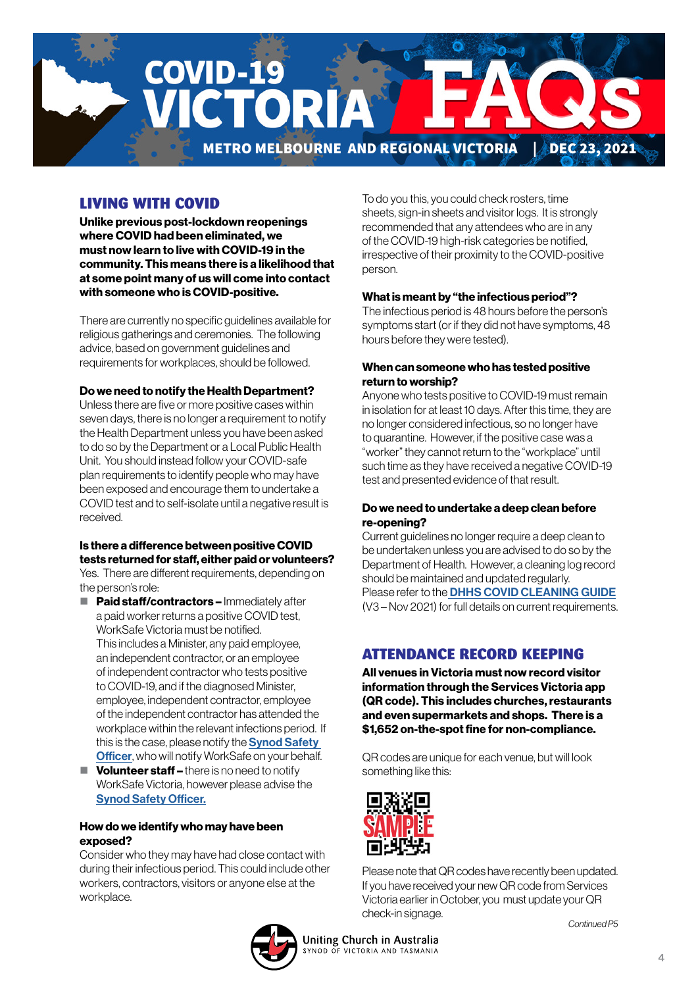

### LIVING WITH COVID

Unlike previous post-lockdown reopenings where COVID had been eliminated, we must now learn to live with COVID-19 in the community. This means there is a likelihood that at some point many of us will come into contact with someone who is COVID-positive.

There are currently no specific guidelines available for religious gatherings and ceremonies. The following advice, based on government guidelines and requirements for workplaces, should be followed.

#### Do we need to notify the Health Department?

Unless there are five or more positive cases within seven days, there is no longer a requirement to notify the Health Department unless you have been asked to do so by the Department or a Local Public Health Unit. You should instead follow your COVID-safe plan requirements to identify people who may have been exposed and encourage them to undertake a COVID test and to self-isolate until a negative result is received.

#### Is there a difference between positive COVID tests returned for staff, either paid or volunteers?

Yes. There are different requirements, depending on the person's role:

- **Paid staff/contractors Immediately after** a paid worker returns a positive COVID test, WorkSafe Victoria must be notified. This includes a Minister, any paid employee, an independent contractor, or an employee of independent contractor who tests positive to COVID-19, and if the diagnosed Minister, employee, independent contractor, employee of the independent contractor has attended the workplace within the relevant infections period. If this is the case, please notify the **Synod Safety [Officer](mailto:Elnura.Dulakovic%40victas.uca.org.au?subject=)**, who will notify WorkSafe on your behalf.
- $\blacksquare$  Volunteer staff there is no need to notify WorkSafe Victoria, however please advise the [Synod Safety Officer.](mailto:Elnura.Dulakovic%40victas.uca.org.au?subject=)

#### How do we identify who may have been exposed?

Consider who they may have had close contact with during their infectious period. This could include other workers, contractors, visitors or anyone else at the workplace.

To do you this, you could check rosters, time sheets, sign-in sheets and visitor logs. It is strongly recommended that any attendees who are in any of the COVID-19 high-risk categories be notified, irrespective of their proximity to the COVID-positive person.

#### What is meant by "the infectious period"?

The infectious period is 48 hours before the person's symptoms start (or if they did not have symptoms, 48 hours before they were tested).

#### When can someone who has tested positive return to worship?

Anyone who tests positive to COVID-19 must remain in isolation for at least 10 days. After this time, they are no longer considered infectious, so no longer have to quarantine. However, if the positive case was a "worker" they cannot return to the "workplace" until such time as they have received a negative COVID-19 test and presented evidence of that result.

#### Do we need to undertake a deep clean before re-opening?

Current guidelines no longer require a deep clean to be undertaken unless you are advised to do so by the Department of Health. However, a cleaning log record should be maintained and updated regularly. Please refer to the **[DHHS COVID CLEANING GUIDE](https://victas.uca.org.au/download/668/faq/11557/covid-cleaning-guide)** (V3 – Nov 2021) for full details on current requirements.

## ATTENDANCE RECORD KEEPING

All venues in Victoria must now record visitor information through the Services Victoria app (QR code). This includes churches, restaurants and even supermarkets and shops. There is a \$1,652 on-the-spot fine for non-compliance.

QR codes are unique for each venue, but will look something like this:



Please note that QR codes have recently been updated. If you have received your new QR code from Services Victoria earlier in October, you must update your QR check-in signage.

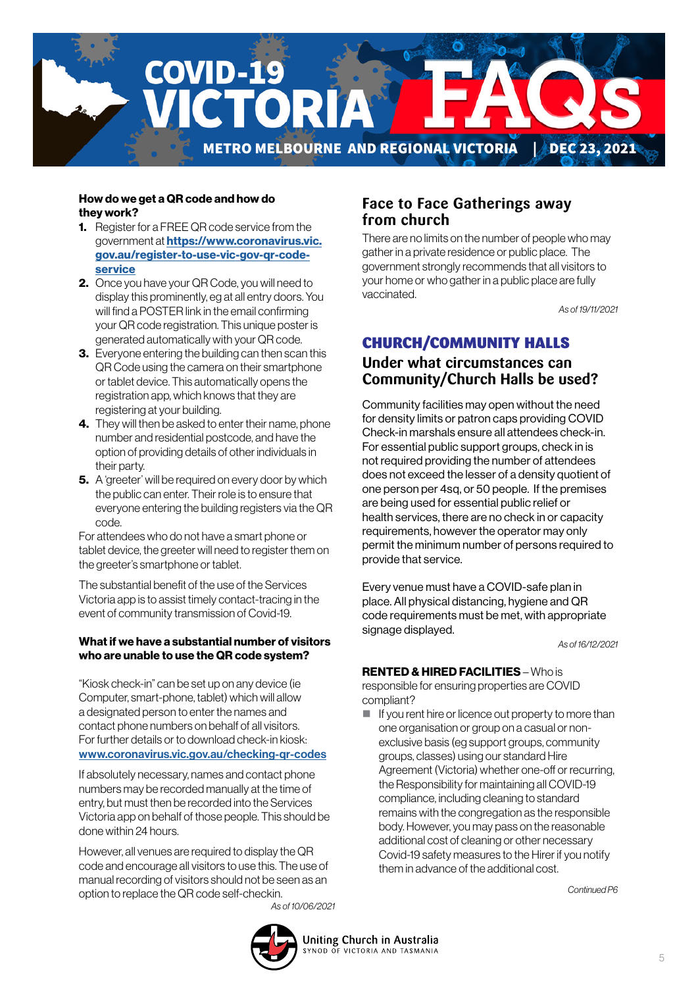

#### How do we get a QR code and how do they work?

- **1.** Register for a FREE QR code service from the government at **[https://www.coronavirus.vic.](https://www.coronavirus.vic.gov.au/register-to-use-vic-gov-qr-code-service)** [gov.au/register-to-use-vic-gov-qr-code](https://www.coronavirus.vic.gov.au/register-to-use-vic-gov-qr-code-service)[service](https://www.coronavirus.vic.gov.au/register-to-use-vic-gov-qr-code-service)
- 2. Once you have your QR Code, you will need to display this prominently, eg at all entry doors. You will find a POSTER link in the email confirming your QR code registration. This unique poster is generated automatically with your QR code.
- **3.** Everyone entering the building can then scan this QR Code using the camera on their smartphone or tablet device. This automatically opens the registration app, which knows that they are registering at your building.
- 4. They will then be asked to enter their name, phone number and residential postcode, and have the option of providing details of other individuals in their party.
- **5.** A 'greeter' will be required on every door by which the public can enter. Their role is to ensure that everyone entering the building registers via the QR code.

For attendees who do not have a smart phone or tablet device, the greeter will need to register them on the greeter's smartphone or tablet.

The substantial benefit of the use of the Services Victoria app is to assist timely contact-tracing in the event of community transmission of Covid-19.

#### What if we have a substantial number of visitors who are unable to use the QR code system?

"Kiosk check-in" can be set up on any device (ie Computer, smart-phone, tablet) which will allow a designated person to enter the names and contact phone numbers on behalf of all visitors. For further details or to download check-in kiosk: [www.coronavirus.vic.gov.au/checking-qr-codes](http://www.coronavirus.vic.gov.au/checking-qr-codes)

If absolutely necessary, names and contact phone numbers may be recorded manually at the time of entry, but must then be recorded into the Services Victoria app on behalf of those people. This should be done within 24 hours.

However, all venues are required to display the QR code and encourage all visitors to use this. The use of manual recording of visitors should not be seen as an option to replace the QR code self-checkin. *As of 10/06/2021*

#### **Face to Face Gatherings away from church**

There are no limits on the number of people who may gather in a private residence or public place. The government strongly recommends that all visitors to your home or who gather in a public place are fully vaccinated.

*As of 19/11/2021*

## CHURCH/COMMUNITY HALLS

## **Under what circumstances can Community/Church Halls be used?**

Community facilities may open without the need for density limits or patron caps providing COVID Check-in marshals ensure all attendees check-in. For essential public support groups, check in is not required providing the number of attendees does not exceed the lesser of a density quotient of one person per 4sq, or 50 people. If the premises are being used for essential public relief or health services, there are no check in or capacity requirements, however the operator may only permit the minimum number of persons required to provide that service.

Every venue must have a COVID-safe plan in place. All physical distancing, hygiene and QR code requirements must be met, with appropriate signage displayed.

*As of 16/12/2021*

#### RENTED & HIRED FACILITIES – Who is

responsible for ensuring properties are COVID compliant?

 $\blacksquare$  If you rent hire or licence out property to more than one organisation or group on a casual or nonexclusive basis (eg support groups, community groups, classes) using our standard Hire Agreement (Victoria) whether one-off or recurring, the Responsibility for maintaining all COVID-19 compliance, including cleaning to standard remains with the congregation as the responsible body. However, you may pass on the reasonable additional cost of cleaning or other necessary Covid-19 safety measures to the Hirer if you notify them in advance of the additional cost.

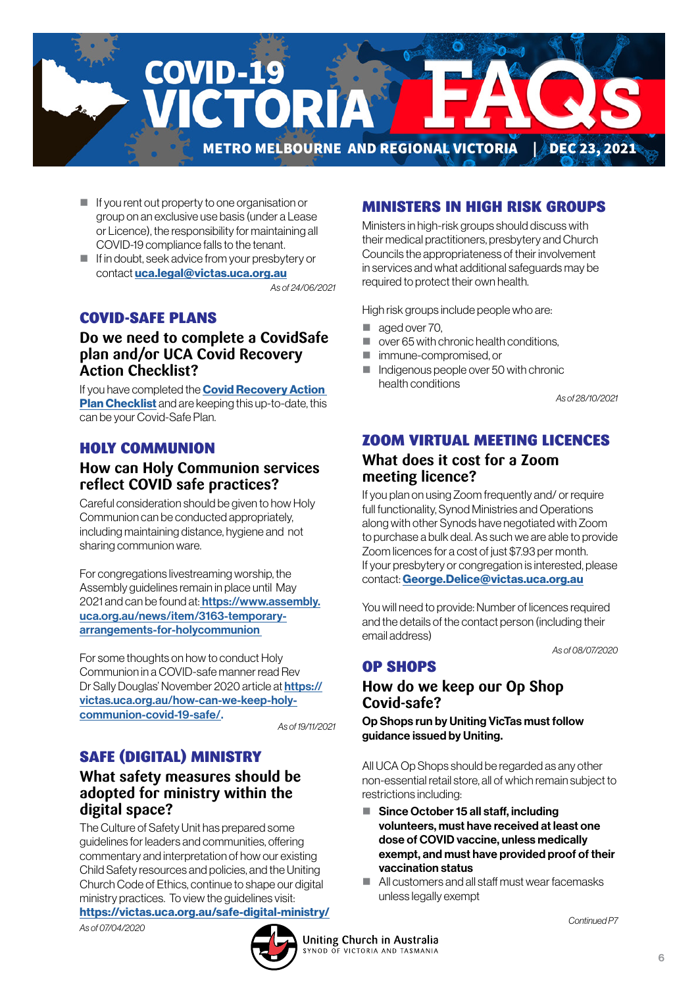

- If you rent out property to one organisation or group on an exclusive use basis (under a Lease or Licence), the responsibility for maintaining all COVID-19 compliance falls to the tenant.
- If in doubt, seek advice from your presbytery or contact [uca.legal@victas.uca.org.au](mailto:uca.legal%40victas.uca.org.au?subject=)

*As of 24/06/2021*

#### COVID-SAFE PLANS

#### **Do we need to complete a CovidSafe plan and/or UCA Covid Recovery Action Checklist?**

If you have completed the **Covid Recovery Action [Plan Checklist](https://victas.uca.org.au/download/668/faq/8852/recovery-action-plan-checklist-v5)** and are keeping this up-to-date, this can be your Covid-Safe Plan.

#### HOLY COMMUNION

### **How can Holy Communion services reflect COVID safe practices?**

Careful consideration should be given to how Holy Communion can be conducted appropriately, including maintaining distance, hygiene and not sharing communion ware.

For congregations livestreaming worship, the Assembly guidelines remain in place until May 2021 and can be found at: **https://www.assembly.** [uca.org.au/news/item/3163-temporary](https://
www.assembly.uca.org.au/news/item/3163-
temporary-arrangements-for-holycommunion )[arrangements-for-holycommunion](https://
www.assembly.uca.org.au/news/item/3163-
temporary-arrangements-for-holycommunion ) 

For some thoughts on how to conduct Holy Communion in a COVID-safe manner read Rev Dr Sally Douglas' November 2020 article at [https://](https://

victas.uca.org.au/how-can-we-keep-holy-

communion-covid-19-safe/) [victas.uca.org.au/how-can-we-keep-holy](https://

victas.uca.org.au/how-can-we-keep-holy-

communion-covid-19-safe/)[communion-covid-19-safe/.](https://

victas.uca.org.au/how-can-we-keep-holy-

communion-covid-19-safe/) 

*As of 19/11/2021*

## SAFE (DIGITAL) MINISTRY

#### **What safety measures should be adopted for ministry within the digital space?**

The Culture of Safety Unit has prepared some guidelines for leaders and communities, offering commentary and interpretation of how our existing Child Safety resources and policies, and the Uniting Church Code of Ethics, continue to shape our digital ministry practices. To view the guidelines visit: <https://victas.uca.org.au/safe-digital-ministry/> *As of 07/04/2020*

# MINISTERS IN HIGH RISK GROUPS

Ministers in high-risk groups should discuss with their medical practitioners, presbytery and Church Councils the appropriateness of their involvement in services and what additional safeguards may be required to protect their own health.

High risk groups include people who are:

- aged over 70.
- $\Box$  over 65 with chronic health conditions.
- **F** immune-compromised or
- Indigenous people over 50 with chronic health conditions

*As of 28/10/2021*

#### ZOOM VIRTUAL MEETING LICENCES

#### **What does it cost for a Zoom meeting licence?**

If you plan on using Zoom frequently and/ or require full functionality, Synod Ministries and Operations along with other Synods have negotiated with Zoom to purchase a bulk deal. As such we are able to provide Zoom licences for a cost of just \$7.93 per month. If your presbytery or congregation is interested, please contact: [George.Delice@victas.uca.org.au](mailto:George.Delice%40victas.uca.org.au?subject=)

You will need to provide: Number of licences required and the details of the contact person (including their email address)

*As of 08/07/2020*

## OP SHOPS

## **How do we keep our Op Shop Covid-safe?**

Op Shops run by Uniting VicTas must follow guidance issued by Uniting.

All UCA Op Shops should be regarded as any other non-essential retail store, all of which remain subject to restrictions including:

- Since October 15 all staff, including volunteers, must have received at least one dose of COVID vaccine, unless medically exempt, and must have provided proof of their vaccination status
- All customers and all staff must wear facemasks unless legally exempt

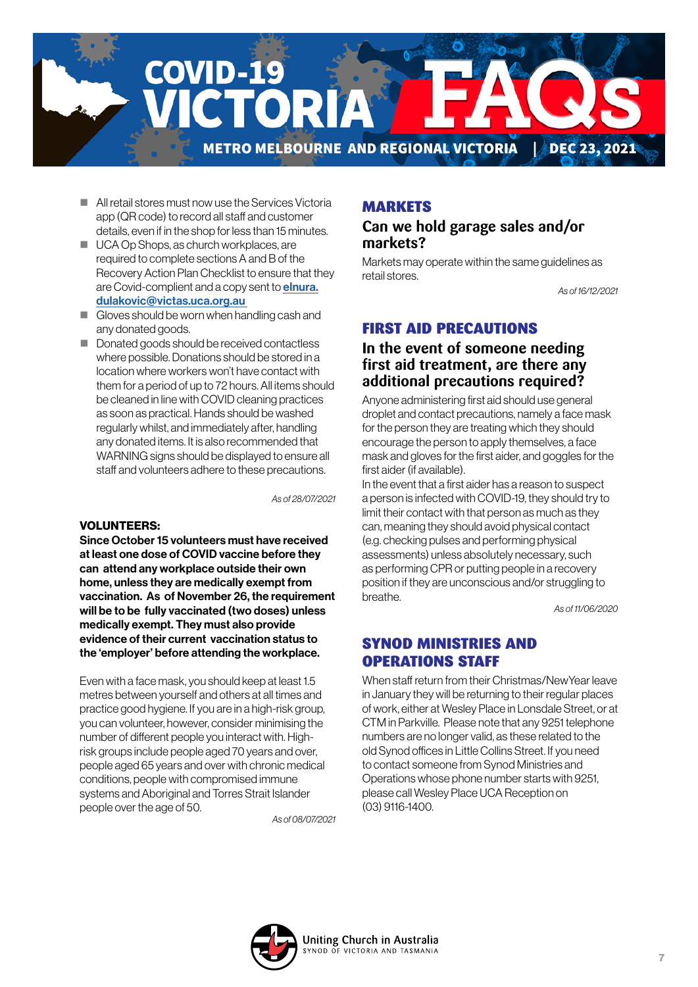

- **All retail stores must now use the Services Victoria** app (QR code) to record all staff and customer details, even if in the shop for less than 15 minutes.
- UCA Op Shops, as church workplaces, are required to complete sections A and B of the Recovery Action Plan Checklist to ensure that they are Covid-complient and a copy sent to **[elnura.](mailto:elnura.dulakovic%40victas.uca.org.au%20%20?subject=)** [dulakovic@victas.uca.org.au](mailto:elnura.dulakovic%40victas.uca.org.au%20%20?subject=)
- Gloves should be worn when handling cash and any donated goods.
- Donated goods should be received contactless where possible. Donations should be stored in a location where workers won't have contact with them for a period of up to 72 hours. All items should be cleaned in line with COVID cleaning practices as soon as practical. Hands should be washed regularly whilst, and immediately after, handling any donated items. It is also recommended that WARNING signs should be displayed to ensure all staff and volunteers adhere to these precautions.

*As of 28/07/2021*

#### VOLUNTEERS:

Since October 15 volunteers must have received at least one dose of COVID vaccine before they can attend any workplace outside their own home, unless they are medically exempt from vaccination. As of November 26, the requirement will be to be fully vaccinated (two doses) unless medically exempt. They must also provide evidence of their current vaccination status to the 'employer' before attending the workplace.

Even with a face mask, you should keep at least 1.5 metres between yourself and others at all times and practice good hygiene. If you are in a high-risk group, you can volunteer, however, consider minimising the number of different people you interact with. Highrisk groups include people aged 70 years and over, people aged 65 years and over with chronic medical conditions, people with compromised immune systems and Aboriginal and Torres Strait Islander people over the age of 50.

*As of 08/07/2021*

#### MARKETS

#### **Can we hold garage sales and/or markets?**

Markets may operate within the same guidelines as retail stores.

*As of 16/12/2021*

#### FIRST AID PRECAUTIONS

#### **In the event of someone needing first aid treatment, are there any additional precautions required?**

Anyone administering first aid should use general droplet and contact precautions, namely a face mask for the person they are treating which they should encourage the person to apply themselves, a face mask and gloves for the first aider, and goggles for the first aider (if available).

In the event that a first aider has a reason to suspect a person is infected with COVID-19, they should try to limit their contact with that person as much as they can, meaning they should avoid physical contact (e.g. checking pulses and performing physical assessments) unless absolutely necessary, such as performing CPR or putting people in a recovery position if they are unconscious and/or struggling to breathe.

*As of 11/06/2020*

#### SYNOD MINISTRIES AND OPERATIONS STAFF

When staff return from their Christmas/NewYear leave in January they will be returning to their regular places of work, either at Wesley Place in Lonsdale Street, or at CTM in Parkville. Please note that any 9251 telephone numbers are no longer valid, as these related to the old Synod offices in Little Collins Street. If you need to contact someone from Synod Ministries and Operations whose phone number starts with 9251, please call Wesley Place UCA Reception on (03) 9116-1400.